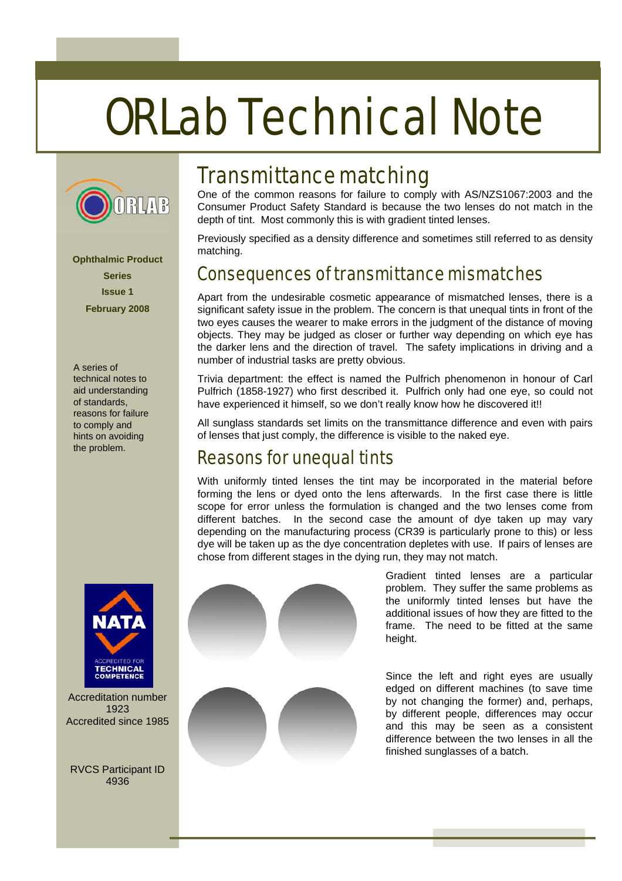# ORLab Technical Note



**Ophthalmic Product Series Issue 1 February 2008** 

A series of technical notes to aid understanding of standards, reasons for failure to comply and hints on avoiding the problem.



Accreditation number 1923 Accredited since 1985

RVCS Participant ID 4936

## Transmittance matching

One of the common reasons for failure to comply with AS/NZS1067:2003 and the Consumer Product Safety Standard is because the two lenses do not match in the depth of tint. Most commonly this is with gradient tinted lenses.

Previously specified as a density difference and sometimes still referred to as density matching.

## Consequences of transmittance mismatches

Apart from the undesirable cosmetic appearance of mismatched lenses, there is a significant safety issue in the problem. The concern is that unequal tints in front of the two eyes causes the wearer to make errors in the judgment of the distance of moving objects. They may be judged as closer or further way depending on which eye has the darker lens and the direction of travel. The safety implications in driving and a number of industrial tasks are pretty obvious.

Trivia department: the effect is named the Pulfrich phenomenon in honour of Carl Pulfrich (1858-1927) who first described it. Pulfrich only had one eye, so could not have experienced it himself, so we don't really know how he discovered it!!

All sunglass standards set limits on the transmittance difference and even with pairs of lenses that just comply, the difference is visible to the naked eye.

## Reasons for unequal tints

With uniformly tinted lenses the tint may be incorporated in the material before forming the lens or dyed onto the lens afterwards. In the first case there is little scope for error unless the formulation is changed and the two lenses come from different batches. In the second case the amount of dye taken up may vary depending on the manufacturing process (CR39 is particularly prone to this) or less dye will be taken up as the dye concentration depletes with use. If pairs of lenses are chose from different stages in the dying run, they may not match.



Gradient tinted lenses are a particular problem. They suffer the same problems as the uniformly tinted lenses but have the additional issues of how they are fitted to the frame. The need to be fitted at the same height.

Since the left and right eyes are usually edged on different machines (to save time by not changing the former) and, perhaps, by different people, differences may occur and this may be seen as a consistent difference between the two lenses in all the finished sunglasses of a batch.